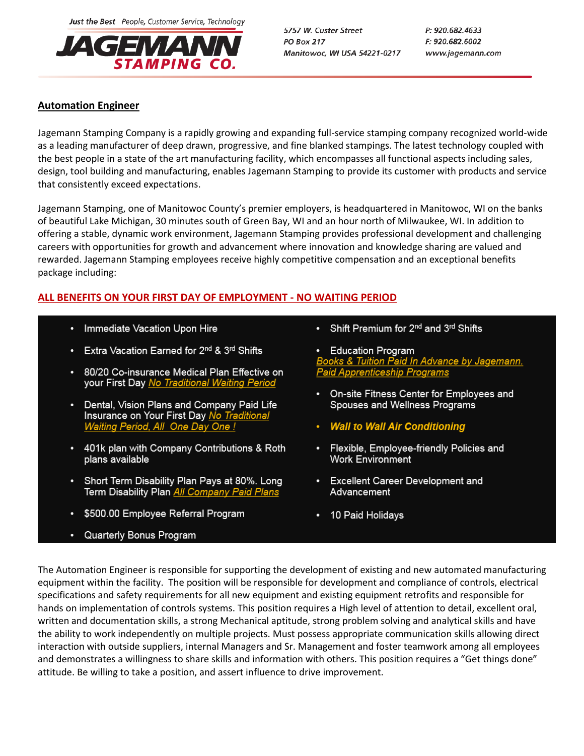Just the Best People, Customer Service, Technology



5757 W. Custer Street **PO Box 217** Manitowoc, WI USA 54221-0217 P: 920.682.4633 F: 920.682.6002 www.jagemann.com

# **Automation Engineer**

Jagemann Stamping Company is a rapidly growing and expanding full-service stamping company recognized world-wide as a leading manufacturer of deep drawn, progressive, and fine blanked stampings. The latest technology coupled with the best people in a state of the art manufacturing facility, which encompasses all functional aspects including sales, design, tool building and manufacturing, enables Jagemann Stamping to provide its customer with products and service that consistently exceed expectations.

Jagemann Stamping, one of Manitowoc County's premier employers, is headquartered in Manitowoc, WI on the banks of beautiful Lake Michigan, 30 minutes south of Green Bay, WI and an hour north of Milwaukee, WI. In addition to offering a stable, dynamic work environment, Jagemann Stamping provides professional development and challenging careers with opportunities for growth and advancement where innovation and knowledge sharing are valued and rewarded. Jagemann Stamping employees receive highly competitive compensation and an exceptional benefits package including:

# ALL BENEFITS ON YOUR FIRST DAY OF EMPLOYMENT - NO WAITING PERIOD

- Immediate Vacation Upon Hire
- Extra Vacation Earned for 2<sup>nd</sup> & 3<sup>rd</sup> Shifts
- 80/20 Co-insurance Medical Plan Effective on your First Day No Traditional Waiting Period
- Dental, Vision Plans and Company Paid Life Insurance on Your First Day No Traditional Waiting Period, All One Day One !
- 401k plan with Company Contributions & Roth plans available
- Short Term Disability Plan Pays at 80%. Long Term Disability Plan All Company Paid Plans
- \$500.00 Employee Referral Program
- Quarterly Bonus Program
- Shift Premium for 2<sup>nd</sup> and 3<sup>rd</sup> Shifts
- **Education Program** <u>ooks & Tuition Paid In Advance by Jagemann.</u> **Paid Apprenticeship Programs**
- On-site Fitness Center for Employees and Spouses and Wellness Programs
- **Wall to Wall Air Conditioning**
- Flexible, Employee-friendly Policies and **Work Environment**
- Excellent Career Development and Advancement
- 10 Paid Holidays

The Automation Engineer is responsible for supporting the development of existing and new automated manufacturing equipment within the facility. The position will be responsible for development and compliance of controls, electrical specifications and safety requirements for all new equipment and existing equipment retrofits and responsible for hands on implementation of controls systems. This position requires a High level of attention to detail, excellent oral, written and documentation skills, a strong Mechanical aptitude, strong problem solving and analytical skills and have the ability to work independently on multiple projects. Must possess appropriate communication skills allowing direct interaction with outside suppliers, internal Managers and Sr. Management and foster teamwork among all employees and demonstrates a willingness to share skills and information with others. This position requires a "Get things done" attitude. Be willing to take a position, and assert influence to drive improvement.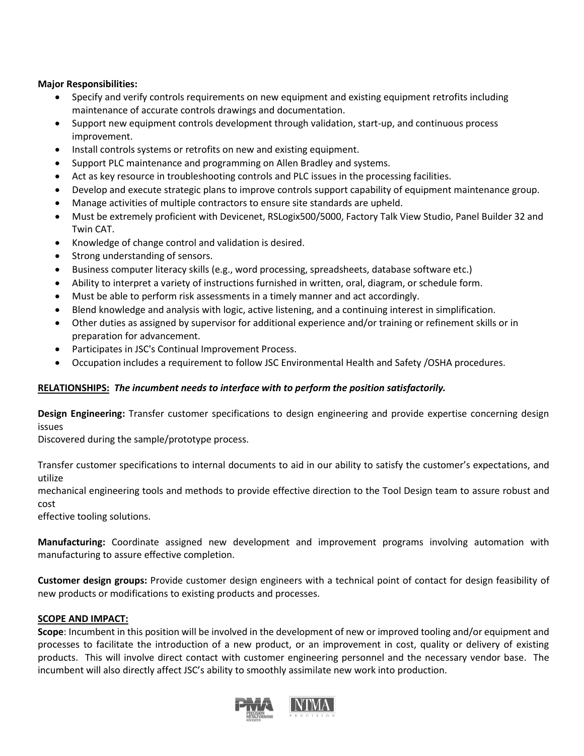### **Major Responsibilities:**

- Specify and verify controls requirements on new equipment and existing equipment retrofits including maintenance of accurate controls drawings and documentation.
- Support new equipment controls development through validation, start-up, and continuous process improvement.
- Install controls systems or retrofits on new and existing equipment.
- Support PLC maintenance and programming on Allen Bradley and systems.
- Act as key resource in troubleshooting controls and PLC issues in the processing facilities.
- Develop and execute strategic plans to improve controls support capability of equipment maintenance group.
- Manage activities of multiple contractors to ensure site standards are upheld.
- Must be extremely proficient with Devicenet, RSLogix500/5000, Factory Talk View Studio, Panel Builder 32 and Twin CAT.
- Knowledge of change control and validation is desired.
- Strong understanding of sensors.
- Business computer literacy skills (e.g., word processing, spreadsheets, database software etc.)
- Ability to interpret a variety of instructions furnished in written, oral, diagram, or schedule form.
- Must be able to perform risk assessments in a timely manner and act accordingly.
- Blend knowledge and analysis with logic, active listening, and a continuing interest in simplification.
- Other duties as assigned by supervisor for additional experience and/or training or refinement skills or in preparation for advancement.
- Participates in JSC's Continual Improvement Process.
- Occupation includes a requirement to follow JSC Environmental Health and Safety /OSHA procedures.

## **RELATIONSHIPS:** *The incumbent needs to interface with to perform the position satisfactorily.*

**Design Engineering:** Transfer customer specifications to design engineering and provide expertise concerning design issues

Discovered during the sample/prototype process.

Transfer customer specifications to internal documents to aid in our ability to satisfy the customer's expectations, and utilize

mechanical engineering tools and methods to provide effective direction to the Tool Design team to assure robust and cost

effective tooling solutions.

**Manufacturing:** Coordinate assigned new development and improvement programs involving automation with manufacturing to assure effective completion.

**Customer design groups:** Provide customer design engineers with a technical point of contact for design feasibility of new products or modifications to existing products and processes.

## **SCOPE AND IMPACT:**

**Scope**: Incumbent in this position will be involved in the development of new or improved tooling and/or equipment and processes to facilitate the introduction of a new product, or an improvement in cost, quality or delivery of existing products. This will involve direct contact with customer engineering personnel and the necessary vendor base. The incumbent will also directly affect JSC's ability to smoothly assimilate new work into production.